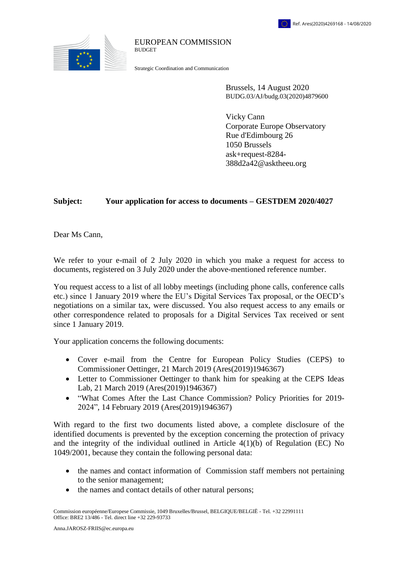

## EUROPEAN COMMISSION **BUDGET**

Strategic Coordination and Communication

Brussels, 14 August 2020 BUDG.03/AJ/budg.03(2020)4879600

Vicky Cann Corporate Europe Observatory Rue d'Edimbourg 26 1050 Brussels ask+request-8284- 388d2a42@asktheeu.org

## **Subject: Your application for access to documents – GESTDEM 2020/4027**

Dear Ms Cann,

We refer to your e-mail of 2 July 2020 in which you make a request for access to documents, registered on 3 July 2020 under the above-mentioned reference number.

You request access to a list of all lobby meetings (including phone calls, conference calls etc.) since 1 January 2019 where the EU's Digital Services Tax proposal, or the OECD's negotiations on a similar tax, were discussed. You also request access to any emails or other correspondence related to proposals for a Digital Services Tax received or sent since 1 January 2019.

Your application concerns the following documents:

- Cover e-mail from the Centre for European Policy Studies (CEPS) to Commissioner Oettinger, 21 March 2019 (Ares(2019)1946367)
- Letter to Commissioner Oettinger to thank him for speaking at the CEPS Ideas Lab, 21 March 2019 (Ares(2019)1946367)
- "What Comes After the Last Chance Commission? Policy Priorities for 2019- 2024", 14 February 2019 (Ares(2019)1946367)

With regard to the first two documents listed above, a complete disclosure of the identified documents is prevented by the exception concerning the protection of privacy and the integrity of the individual outlined in Article 4(1)(b) of Regulation (EC) No 1049/2001, because they contain the following personal data:

- the names and contact information of Commission staff members not pertaining to the senior management;
- the names and contact details of other natural persons;

Commission européenne/Europese Commissie, 1049 Bruxelles/Brussel, BELGIQUE/BELGIË - Tel. +32 22991111 Office: BRE2 13/486 - Tel. direct line +32 229-93733